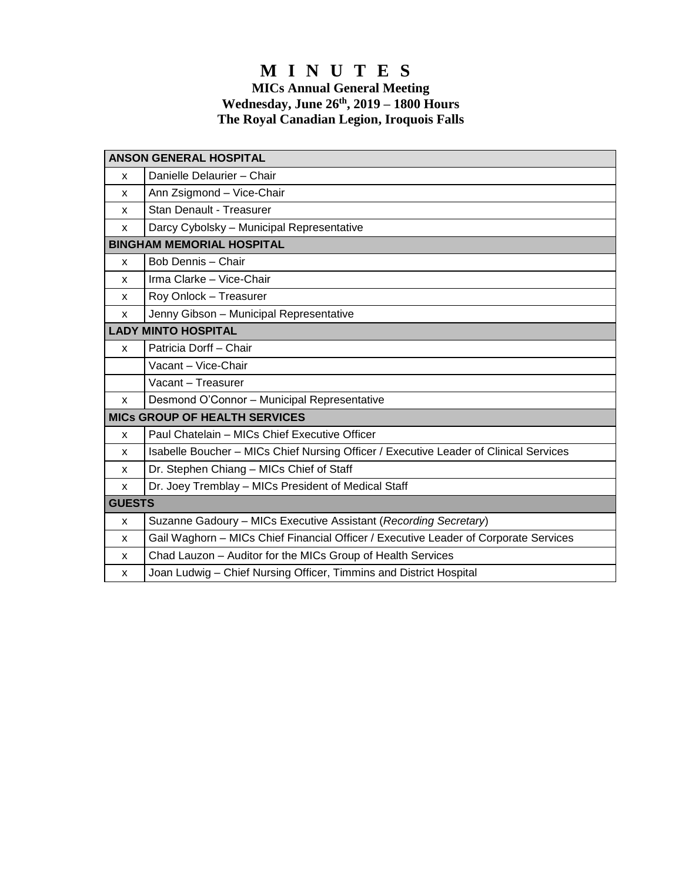# **M I N U T E S**

#### **MICs Annual General Meeting Wednesday, June 26 th, 2019 – 1800 Hours The Royal Canadian Legion, Iroquois Falls**

| <b>ANSON GENERAL HOSPITAL</b>        |                                                                                       |
|--------------------------------------|---------------------------------------------------------------------------------------|
| X                                    | Danielle Delaurier - Chair                                                            |
| X                                    | Ann Zsigmond - Vice-Chair                                                             |
| X                                    | Stan Denault - Treasurer                                                              |
| X                                    | Darcy Cybolsky - Municipal Representative                                             |
| <b>BINGHAM MEMORIAL HOSPITAL</b>     |                                                                                       |
| X                                    | Bob Dennis - Chair                                                                    |
| X                                    | Irma Clarke - Vice-Chair                                                              |
| X                                    | Roy Onlock - Treasurer                                                                |
| X                                    | Jenny Gibson - Municipal Representative                                               |
| <b>LADY MINTO HOSPITAL</b>           |                                                                                       |
| $\mathsf{x}$                         | Patricia Dorff - Chair                                                                |
|                                      | Vacant - Vice-Chair                                                                   |
|                                      | Vacant - Treasurer                                                                    |
| X                                    | Desmond O'Connor - Municipal Representative                                           |
| <b>MICS GROUP OF HEALTH SERVICES</b> |                                                                                       |
| X                                    | Paul Chatelain - MICs Chief Executive Officer                                         |
| x                                    | Isabelle Boucher - MICs Chief Nursing Officer / Executive Leader of Clinical Services |
| x                                    | Dr. Stephen Chiang - MICs Chief of Staff                                              |
| X                                    | Dr. Joey Tremblay - MICs President of Medical Staff                                   |
| <b>GUESTS</b>                        |                                                                                       |
| x                                    | Suzanne Gadoury - MICs Executive Assistant (Recording Secretary)                      |
| X                                    | Gail Waghorn - MICs Chief Financial Officer / Executive Leader of Corporate Services  |
| x                                    | Chad Lauzon - Auditor for the MICs Group of Health Services                           |
| X                                    | Joan Ludwig – Chief Nursing Officer, Timmins and District Hospital                    |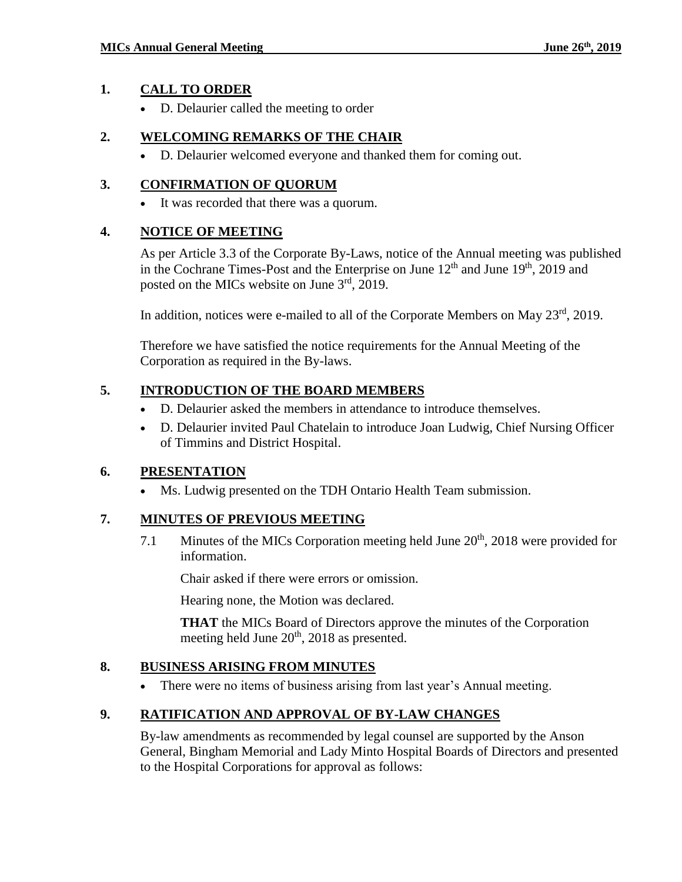### **1. CALL TO ORDER**

D. Delaurier called the meeting to order

### **2. WELCOMING REMARKS OF THE CHAIR**

D. Delaurier welcomed everyone and thanked them for coming out.

### **3. CONFIRMATION OF QUORUM**

It was recorded that there was a quorum.

### **4. NOTICE OF MEETING**

As per Article 3.3 of the Corporate By-Laws, notice of the Annual meeting was published in the Cochrane Times-Post and the Enterprise on June  $12<sup>th</sup>$  and June  $19<sup>th</sup>$ , 2019 and posted on the MICs website on June  $3<sup>rd</sup>$ , 2019.

In addition, notices were e-mailed to all of the Corporate Members on May 23<sup>rd</sup>, 2019.

Therefore we have satisfied the notice requirements for the Annual Meeting of the Corporation as required in the By-laws.

### **5. INTRODUCTION OF THE BOARD MEMBERS**

- D. Delaurier asked the members in attendance to introduce themselves.
- D. Delaurier invited Paul Chatelain to introduce Joan Ludwig, Chief Nursing Officer of Timmins and District Hospital.

# **6. PRESENTATION**

Ms. Ludwig presented on the TDH Ontario Health Team submission.

# **7. MINUTES OF PREVIOUS MEETING**

7.1 Minutes of the MICs Corporation meeting held June 20<sup>th</sup>, 2018 were provided for information.

Chair asked if there were errors or omission.

Hearing none, the Motion was declared.

**THAT** the MICs Board of Directors approve the minutes of the Corporation meeting held June 20<sup>th</sup>, 2018 as presented.

### **8. BUSINESS ARISING FROM MINUTES**

There were no items of business arising from last year's Annual meeting.

### **9. RATIFICATION AND APPROVAL OF BY-LAW CHANGES**

By-law amendments as recommended by legal counsel are supported by the Anson General, Bingham Memorial and Lady Minto Hospital Boards of Directors and presented to the Hospital Corporations for approval as follows: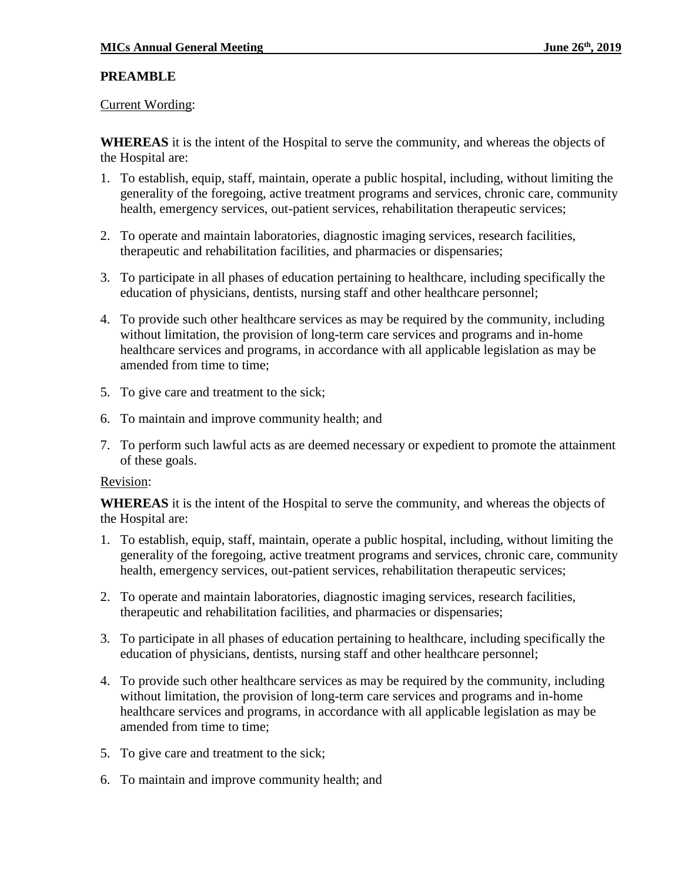### **PREAMBLE**

#### Current Wording:

**WHEREAS** it is the intent of the Hospital to serve the community, and whereas the objects of the Hospital are:

- 1. To establish, equip, staff, maintain, operate a public hospital, including, without limiting the generality of the foregoing, active treatment programs and services, chronic care, community health, emergency services, out-patient services, rehabilitation therapeutic services;
- 2. To operate and maintain laboratories, diagnostic imaging services, research facilities, therapeutic and rehabilitation facilities, and pharmacies or dispensaries;
- 3. To participate in all phases of education pertaining to healthcare, including specifically the education of physicians, dentists, nursing staff and other healthcare personnel;
- 4. To provide such other healthcare services as may be required by the community, including without limitation, the provision of long-term care services and programs and in-home healthcare services and programs, in accordance with all applicable legislation as may be amended from time to time;
- 5. To give care and treatment to the sick;
- 6. To maintain and improve community health; and
- 7. To perform such lawful acts as are deemed necessary or expedient to promote the attainment of these goals.

### Revision:

**WHEREAS** it is the intent of the Hospital to serve the community, and whereas the objects of the Hospital are:

- 1. To establish, equip, staff, maintain, operate a public hospital, including, without limiting the generality of the foregoing, active treatment programs and services, chronic care, community health, emergency services, out-patient services, rehabilitation therapeutic services;
- 2. To operate and maintain laboratories, diagnostic imaging services, research facilities, therapeutic and rehabilitation facilities, and pharmacies or dispensaries;
- 3. To participate in all phases of education pertaining to healthcare, including specifically the education of physicians, dentists, nursing staff and other healthcare personnel;
- 4. To provide such other healthcare services as may be required by the community, including without limitation, the provision of long-term care services and programs and in-home healthcare services and programs, in accordance with all applicable legislation as may be amended from time to time;
- 5. To give care and treatment to the sick;
- 6. To maintain and improve community health; and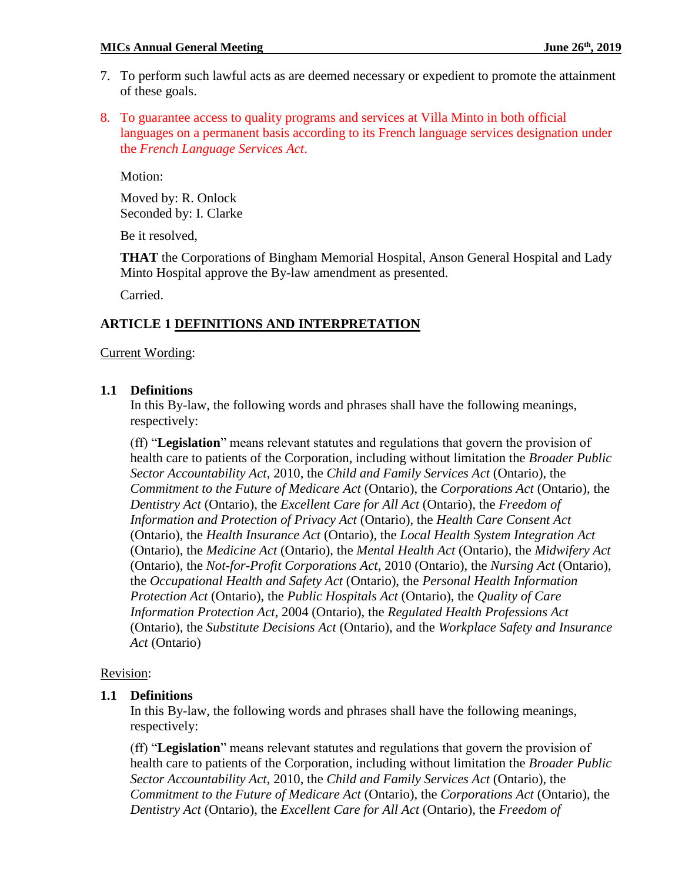- 7. To perform such lawful acts as are deemed necessary or expedient to promote the attainment of these goals.
- 8. To guarantee access to quality programs and services at Villa Minto in both official languages on a permanent basis according to its French language services designation under the *French Language Services Act*.

Motion:

Moved by: R. Onlock Seconded by: I. Clarke

Be it resolved,

**THAT** the Corporations of Bingham Memorial Hospital, Anson General Hospital and Lady Minto Hospital approve the By-law amendment as presented.

Carried.

### **ARTICLE 1 DEFINITIONS AND INTERPRETATION**

#### Current Wording:

#### **1.1 Definitions**

In this By-law, the following words and phrases shall have the following meanings, respectively:

(ff) "**Legislation**" means relevant statutes and regulations that govern the provision of health care to patients of the Corporation, including without limitation the *Broader Public Sector Accountability Act*, 2010, the *Child and Family Services Act* (Ontario), the *Commitment to the Future of Medicare Act* (Ontario), the *Corporations Act* (Ontario), the *Dentistry Act* (Ontario), the *Excellent Care for All Act* (Ontario), the *Freedom of Information and Protection of Privacy Act* (Ontario), the *Health Care Consent Act*  (Ontario), the *Health Insurance Act* (Ontario), the *Local Health System Integration Act*  (Ontario), the *Medicine Act* (Ontario), the *Mental Health Act* (Ontario), the *Midwifery Act*  (Ontario), the *Not-for-Profit Corporations Act*, 2010 (Ontario), the *Nursing Act* (Ontario), the *Occupational Health and Safety Act* (Ontario), the *Personal Health Information Protection Act* (Ontario), the *Public Hospitals Act* (Ontario), the *Quality of Care Information Protection Act*, 2004 (Ontario), the *Regulated Health Professions Act*  (Ontario), the *Substitute Decisions Act* (Ontario), and the *Workplace Safety and Insurance Act* (Ontario)

### Revision:

### **1.1 Definitions**

In this By-law, the following words and phrases shall have the following meanings, respectively:

(ff) "**Legislation**" means relevant statutes and regulations that govern the provision of health care to patients of the Corporation, including without limitation the *Broader Public Sector Accountability Act*, 2010, the *Child and Family Services Act* (Ontario), the *Commitment to the Future of Medicare Act* (Ontario), the *Corporations Act* (Ontario), the *Dentistry Act* (Ontario), the *Excellent Care for All Act* (Ontario), the *Freedom of*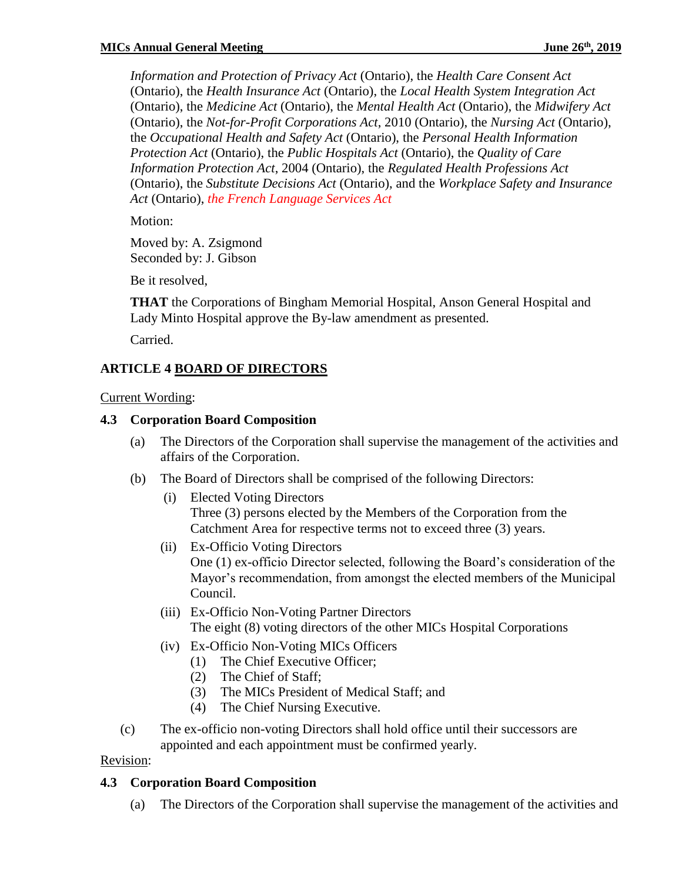*Information and Protection of Privacy Act* (Ontario), the *Health Care Consent Act*  (Ontario), the *Health Insurance Act* (Ontario), the *Local Health System Integration Act*  (Ontario), the *Medicine Act* (Ontario), the *Mental Health Act* (Ontario), the *Midwifery Act*  (Ontario), the *Not-for-Profit Corporations Act*, 2010 (Ontario), the *Nursing Act* (Ontario), the *Occupational Health and Safety Act* (Ontario), the *Personal Health Information Protection Act* (Ontario), the *Public Hospitals Act* (Ontario), the *Quality of Care Information Protection Act*, 2004 (Ontario), the *Regulated Health Professions Act*  (Ontario), the *Substitute Decisions Act* (Ontario), and the *Workplace Safety and Insurance Act* (Ontario), *the French Language Services Act*

Motion:

Moved by: A. Zsigmond Seconded by: J. Gibson

Be it resolved,

**THAT** the Corporations of Bingham Memorial Hospital, Anson General Hospital and Lady Minto Hospital approve the By-law amendment as presented.

Carried.

# **ARTICLE 4 BOARD OF DIRECTORS**

Current Wording:

### **4.3 Corporation Board Composition**

- (a) The Directors of the Corporation shall supervise the management of the activities and affairs of the Corporation.
- (b) The Board of Directors shall be comprised of the following Directors:
	- (i) Elected Voting Directors Three (3) persons elected by the Members of the Corporation from the Catchment Area for respective terms not to exceed three (3) years.
	- (ii) Ex-Officio Voting Directors One (1) ex-officio Director selected, following the Board's consideration of the Mayor's recommendation, from amongst the elected members of the Municipal Council.
	- (iii) Ex-Officio Non-Voting Partner Directors The eight (8) voting directors of the other MICs Hospital Corporations
	- (iv) Ex-Officio Non-Voting MICs Officers
		- (1) The Chief Executive Officer;
		- (2) The Chief of Staff;
		- (3) The MICs President of Medical Staff; and
		- (4) The Chief Nursing Executive.
- (c) The ex-officio non-voting Directors shall hold office until their successors are appointed and each appointment must be confirmed yearly.

### Revision:

### **4.3 Corporation Board Composition**

(a) The Directors of the Corporation shall supervise the management of the activities and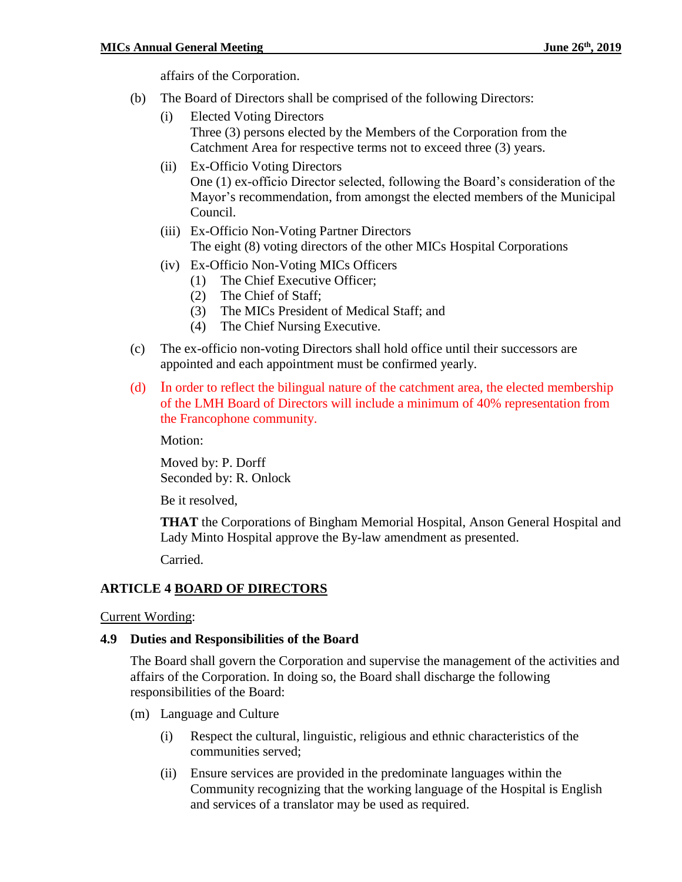affairs of the Corporation.

- (b) The Board of Directors shall be comprised of the following Directors:
	- (i) Elected Voting Directors Three (3) persons elected by the Members of the Corporation from the Catchment Area for respective terms not to exceed three (3) years.
	- (ii) Ex-Officio Voting Directors One (1) ex-officio Director selected, following the Board's consideration of the Mayor's recommendation, from amongst the elected members of the Municipal Council.
	- (iii) Ex-Officio Non-Voting Partner Directors The eight (8) voting directors of the other MICs Hospital Corporations
	- (iv) Ex-Officio Non-Voting MICs Officers
		- (1) The Chief Executive Officer;
		- (2) The Chief of Staff;
		- (3) The MICs President of Medical Staff; and
		- (4) The Chief Nursing Executive.
- (c) The ex-officio non-voting Directors shall hold office until their successors are appointed and each appointment must be confirmed yearly.
- (d) In order to reflect the bilingual nature of the catchment area, the elected membership of the LMH Board of Directors will include a minimum of 40% representation from the Francophone community.

Motion:

Moved by: P. Dorff Seconded by: R. Onlock

Be it resolved,

**THAT** the Corporations of Bingham Memorial Hospital, Anson General Hospital and Lady Minto Hospital approve the By-law amendment as presented.

Carried.

### **ARTICLE 4 BOARD OF DIRECTORS**

#### Current Wording:

#### **4.9 Duties and Responsibilities of the Board**

The Board shall govern the Corporation and supervise the management of the activities and affairs of the Corporation. In doing so, the Board shall discharge the following responsibilities of the Board:

- (m) Language and Culture
	- (i) Respect the cultural, linguistic, religious and ethnic characteristics of the communities served;
	- (ii) Ensure services are provided in the predominate languages within the Community recognizing that the working language of the Hospital is English and services of a translator may be used as required.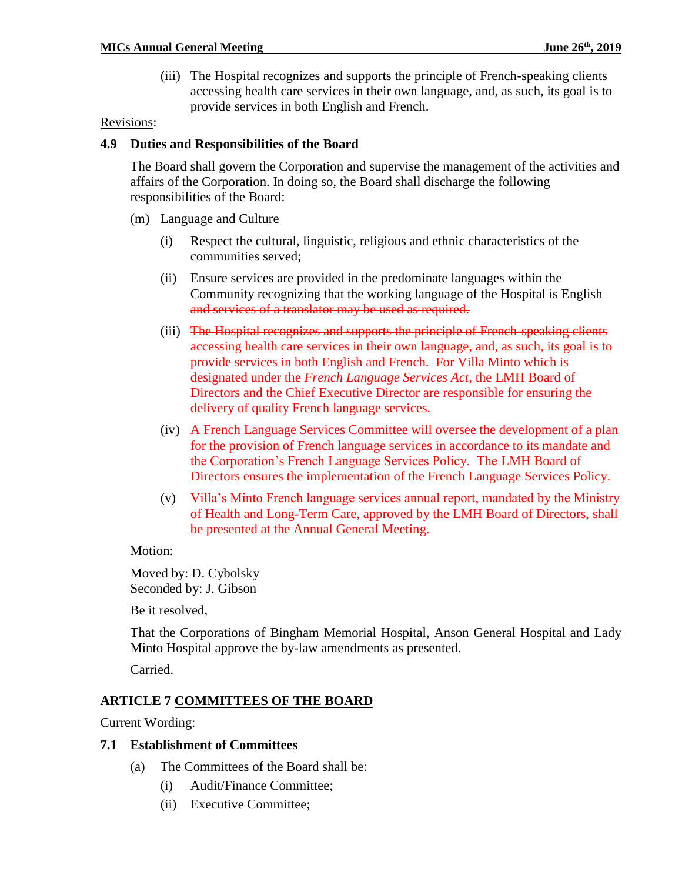(iii) The Hospital recognizes and supports the principle of French-speaking clients accessing health care services in their own language, and, as such, its goal is to provide services in both English and French.

#### Revisions:

#### **4.9 Duties and Responsibilities of the Board**

The Board shall govern the Corporation and supervise the management of the activities and affairs of the Corporation. In doing so, the Board shall discharge the following responsibilities of the Board:

- (m) Language and Culture
	- (i) Respect the cultural, linguistic, religious and ethnic characteristics of the communities served;
	- (ii) Ensure services are provided in the predominate languages within the Community recognizing that the working language of the Hospital is English and services of a translator may be used as required.
	- (iii) The Hospital recognizes and supports the principle of French-speaking clients accessing health care services in their own language, and, as such, its goal is to provide services in both English and French. For Villa Minto which is designated under the *French Language Services Act*, the LMH Board of Directors and the Chief Executive Director are responsible for ensuring the delivery of quality French language services.
	- (iv) A French Language Services Committee will oversee the development of a plan for the provision of French language services in accordance to its mandate and the Corporation's French Language Services Policy. The LMH Board of Directors ensures the implementation of the French Language Services Policy.
	- (v) Villa's Minto French language services annual report, mandated by the Ministry of Health and Long-Term Care, approved by the LMH Board of Directors, shall be presented at the Annual General Meeting.

#### Motion:

Moved by: D. Cybolsky Seconded by: J. Gibson

Be it resolved,

That the Corporations of Bingham Memorial Hospital, Anson General Hospital and Lady Minto Hospital approve the by-law amendments as presented.

Carried.

### **ARTICLE 7 COMMITTEES OF THE BOARD**

Current Wording:

#### **7.1 Establishment of Committees**

- (a) The Committees of the Board shall be:
	- (i) Audit/Finance Committee;
	- (ii) Executive Committee;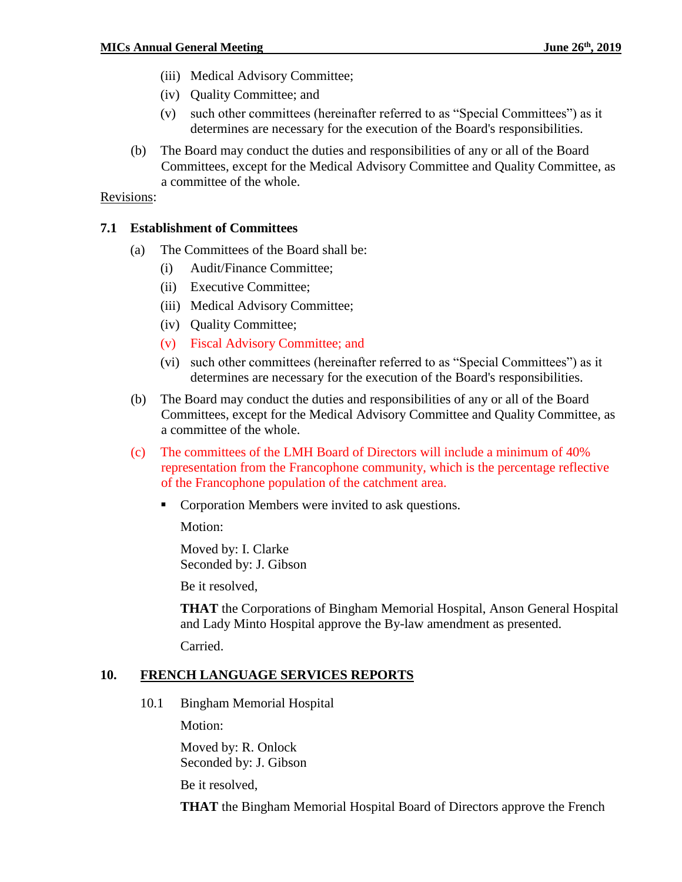- (iii) Medical Advisory Committee;
- (iv) Quality Committee; and
- (v) such other committees (hereinafter referred to as "Special Committees") as it determines are necessary for the execution of the Board's responsibilities.
- (b) The Board may conduct the duties and responsibilities of any or all of the Board Committees, except for the Medical Advisory Committee and Quality Committee, as a committee of the whole.

#### Revisions:

#### **7.1 Establishment of Committees**

- (a) The Committees of the Board shall be:
	- (i) Audit/Finance Committee;
	- (ii) Executive Committee;
	- (iii) Medical Advisory Committee;
	- (iv) Quality Committee;
	- (v) Fiscal Advisory Committee; and
	- (vi) such other committees (hereinafter referred to as "Special Committees") as it determines are necessary for the execution of the Board's responsibilities.
- (b) The Board may conduct the duties and responsibilities of any or all of the Board Committees, except for the Medical Advisory Committee and Quality Committee, as a committee of the whole.
- (c) The committees of the LMH Board of Directors will include a minimum of 40% representation from the Francophone community, which is the percentage reflective of the Francophone population of the catchment area.
	- **Corporation Members were invited to ask questions.**

Motion:

Moved by: I. Clarke Seconded by: J. Gibson

Be it resolved,

**THAT** the Corporations of Bingham Memorial Hospital, Anson General Hospital and Lady Minto Hospital approve the By-law amendment as presented.

Carried.

### **10. FRENCH LANGUAGE SERVICES REPORTS**

10.1 Bingham Memorial Hospital

Motion:

Moved by: R. Onlock Seconded by: J. Gibson

Be it resolved,

**THAT** the Bingham Memorial Hospital Board of Directors approve the French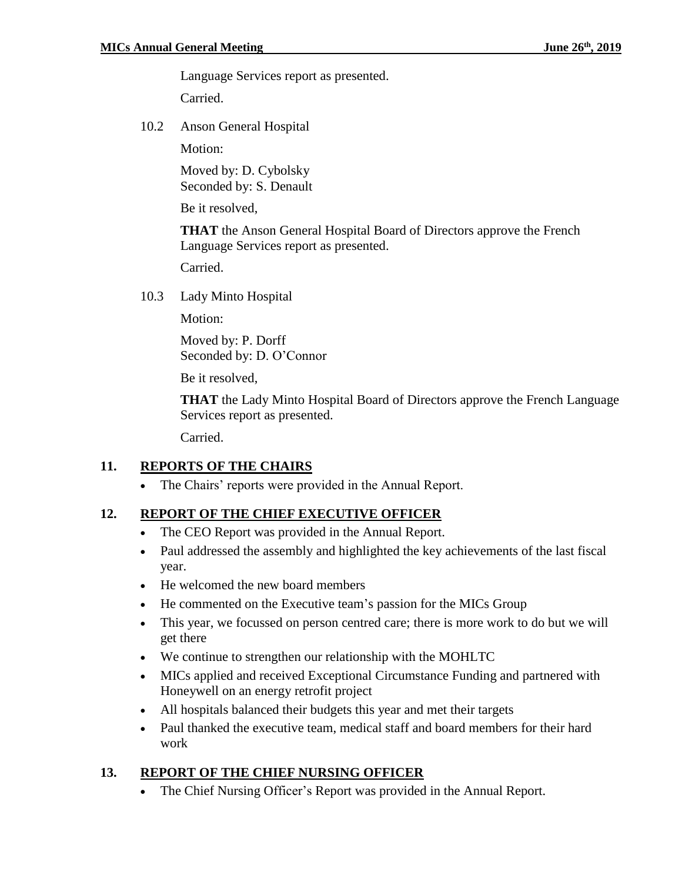Language Services report as presented.

Carried.

10.2 Anson General Hospital

Motion:

Moved by: D. Cybolsky Seconded by: S. Denault

Be it resolved,

**THAT** the Anson General Hospital Board of Directors approve the French Language Services report as presented.

Carried.

10.3 Lady Minto Hospital

Motion:

Moved by: P. Dorff Seconded by: D. O'Connor

Be it resolved,

**THAT** the Lady Minto Hospital Board of Directors approve the French Language Services report as presented.

Carried.

### **11. REPORTS OF THE CHAIRS**

The Chairs' reports were provided in the Annual Report.

### **12. REPORT OF THE CHIEF EXECUTIVE OFFICER**

- The CEO Report was provided in the Annual Report.
- Paul addressed the assembly and highlighted the key achievements of the last fiscal year.
- He welcomed the new board members
- He commented on the Executive team's passion for the MICs Group
- This year, we focussed on person centred care; there is more work to do but we will get there
- We continue to strengthen our relationship with the MOHLTC
- MICs applied and received Exceptional Circumstance Funding and partnered with Honeywell on an energy retrofit project
- All hospitals balanced their budgets this year and met their targets
- Paul thanked the executive team, medical staff and board members for their hard work

### **13. REPORT OF THE CHIEF NURSING OFFICER**

The Chief Nursing Officer's Report was provided in the Annual Report.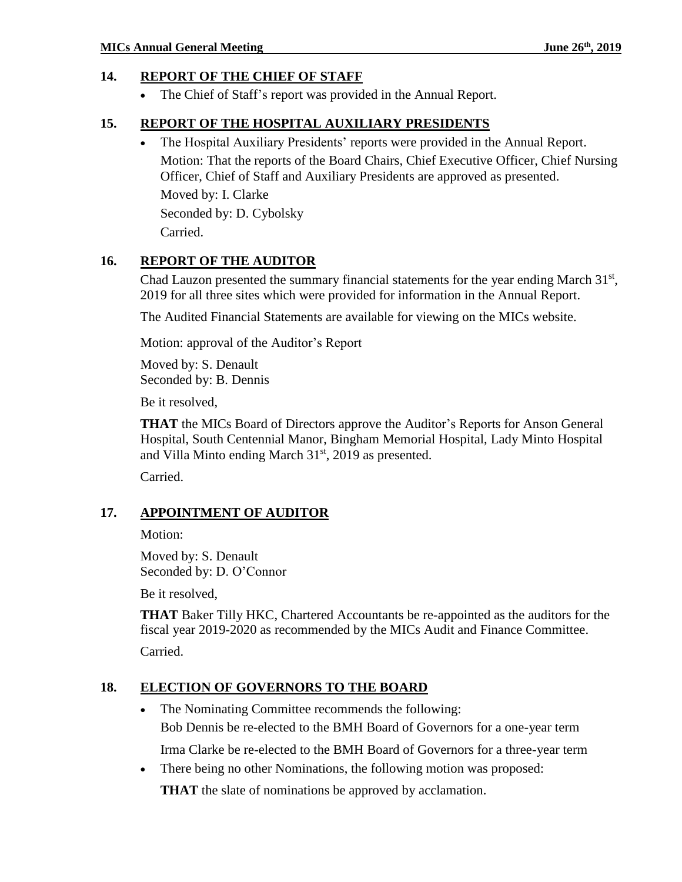### **14. REPORT OF THE CHIEF OF STAFF**

The Chief of Staff's report was provided in the Annual Report.

### **15. REPORT OF THE HOSPITAL AUXILIARY PRESIDENTS**

The Hospital Auxiliary Presidents' reports were provided in the Annual Report.

Motion: That the reports of the Board Chairs, Chief Executive Officer, Chief Nursing Officer, Chief of Staff and Auxiliary Presidents are approved as presented.

Moved by: I. Clarke

Seconded by: D. Cybolsky Carried.

### **16. REPORT OF THE AUDITOR**

Chad Lauzon presented the summary financial statements for the year ending March  $31<sup>st</sup>$ , 2019 for all three sites which were provided for information in the Annual Report.

The Audited Financial Statements are available for viewing on the MICs website.

Motion: approval of the Auditor's Report

Moved by: S. Denault Seconded by: B. Dennis

Be it resolved,

**THAT** the MICs Board of Directors approve the Auditor's Reports for Anson General Hospital, South Centennial Manor, Bingham Memorial Hospital, Lady Minto Hospital and Villa Minto ending March  $31<sup>st</sup>$ , 2019 as presented.

Carried.

### **17. APPOINTMENT OF AUDITOR**

Motion:

Moved by: S. Denault Seconded by: D. O'Connor

Be it resolved,

**THAT** Baker Tilly HKC, Chartered Accountants be re-appointed as the auditors for the fiscal year 2019-2020 as recommended by the MICs Audit and Finance Committee.

Carried.

# **18. ELECTION OF GOVERNORS TO THE BOARD**

• The Nominating Committee recommends the following: Bob Dennis be re-elected to the BMH Board of Governors for a one-year term

Irma Clarke be re-elected to the BMH Board of Governors for a three-year term

There being no other Nominations, the following motion was proposed:

**THAT** the slate of nominations be approved by acclamation.